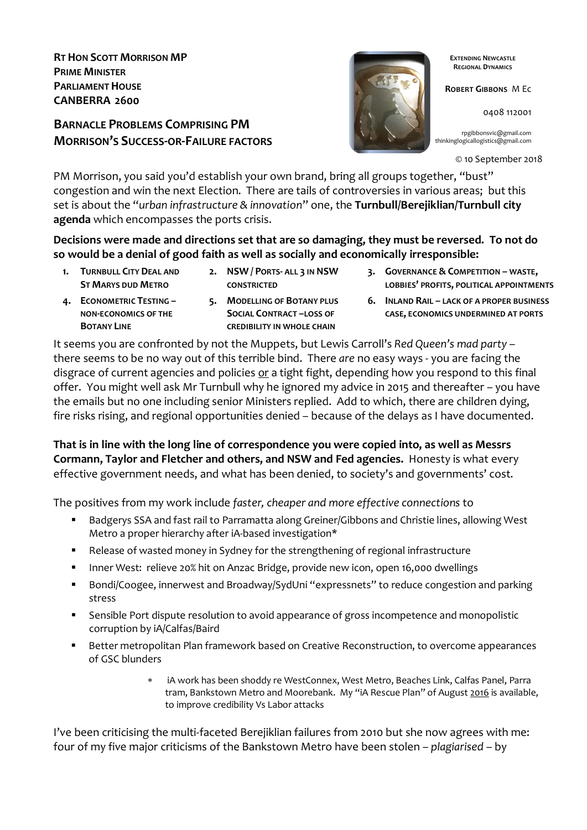**RT HON SCOTT MORRISON MP PRIME MINISTER PARLIAMENT HOUSE CANBERRA 2600**

# **BARNACLE PROBLEMS COMPRISING PM MORRISON'S SUCCESS-OR-FAILURE FACTORS**



**EXTENDING NEWCASTLE REGIONAL DYNAMICS**

**ROBERT GIBBONS** M Ec

0408 112001

rpgibbonsvic@gmail.com thinkinglogicallogistics@gmail.com

© 10 September 2018

PM Morrison, you said you'd establish your own brand, bring all groups together, "bust" congestion and win the next Election. There are tails of controversies in various areas; but this set is about the "*urban infrastructure & innovation*" one, the **Turnbull/Berejiklian/Turnbull city agenda** which encompasses the ports crisis.

**Decisions were made and directions set that are so damaging, they must be reversed. To not do so would be a denial of good faith as well as socially and economically irresponsible:**

- **1. TURNBULL CITY DEAL AND ST MARYS DUD METRO**
- **2. NSW / PORTS- ALL 3 IN NSW CONSTRICTED**
- **3. GOVERNANCE & COMPETITION – WASTE, LOBBIES' PROFITS, POLITICAL APPOINTMENTS**
- **4. ECONOMETRIC TESTING – NON-ECONOMICS OF THE BOTANY LINE**
- **5. MODELLING OF BOTANY PLUS SOCIAL CONTRACT –LOSS OF CREDIBILITY IN WHOLE CHAIN**
- **6. INLAND RAIL – LACK OF A PROPER BUSINESS CASE, ECONOMICS UNDERMINED AT PORTS**

It seems you are confronted by not the Muppets, but Lewis Carroll's *Red Queen's mad party* – there seems to be no way out of this terrible bind. There *are* no easy ways - you are facing the disgrace of current agencies and policies or a tight fight, depending how you respond to this final offer. You might well ask Mr Turnbull why he ignored my advice in 2015 and thereafter – you have the emails but no one including senior Ministers replied. Add to which, there are children dying, fire risks rising, and regional opportunities denied – because of the delays as I have documented.

**That is in line with the long line of correspondence you were copied into, as well as Messrs Cormann, Taylor and Fletcher and others, and NSW and Fed agencies.** Honesty is what every effective government needs, and what has been denied, to society's and governments' cost.

The positives from my work include *faster, cheaper and more effective connections* to

- § Badgerys SSA and fast rail to Parramatta along Greiner/Gibbons and Christie lines, allowing West Metro a proper hierarchy after iA-based investigation\*
- Release of wasted money in Sydney for the strengthening of regional infrastructure
- Inner West: relieve 20% hit on Anzac Bridge, provide new icon, open 16,000 dwellings
- Bondi/Coogee, innerwest and Broadway/SydUni "expressnets" to reduce congestion and parking stress
- Sensible Port dispute resolution to avoid appearance of gross incompetence and monopolistic corruption by iA/Calfas/Baird
- Better metropolitan Plan framework based on Creative Reconstruction, to overcome appearances of GSC blunders
	- iA work has been shoddy re WestConnex, West Metro, Beaches Link, Calfas Panel, Parra tram, Bankstown Metro and Moorebank. My "iA Rescue Plan" of August 2016 is available, to improve credibility Vs Labor attacks

I've been criticising the multi-faceted Berejiklian failures from 2010 but she now agrees with me: four of my five major criticisms of the Bankstown Metro have been stolen – *plagiarised* – by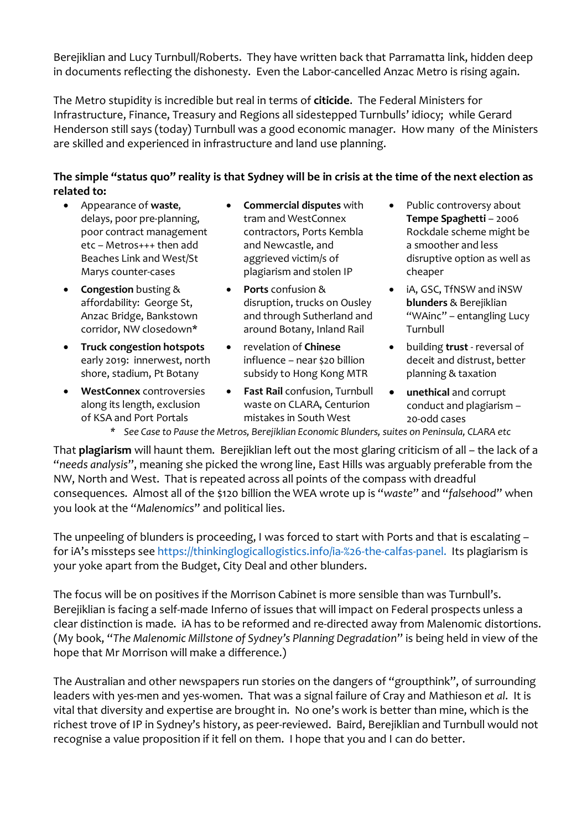Berejiklian and Lucy Turnbull/Roberts. They have written back that Parramatta link, hidden deep in documents reflecting the dishonesty. Even the Labor-cancelled Anzac Metro is rising again.

The Metro stupidity is incredible but real in terms of **citicide**. The Federal Ministers for Infrastructure, Finance, Treasury and Regions all sidestepped Turnbulls' idiocy; while Gerard Henderson still says (today) Turnbull was a good economic manager. How many of the Ministers are skilled and experienced in infrastructure and land use planning.

## **The simple "status quo" reality is that Sydney will be in crisis at the time of the next election as related to:**

- Appearance of **waste**, delays, poor pre-planning, poor contract management etc – Metros+++ then add Beaches Link and West/St Marys counter-cases
- **Congestion** busting & affordability: George St, Anzac Bridge, Bankstown corridor, NW closedown\*
- **Truck congestion hotspots** early 2019: innerwest, north shore, stadium, Pt Botany
- **WestConnex** controversies along its length, exclusion of KSA and Port Portals
- **Commercial disputes** with tram and WestConnex contractors, Ports Kembla and Newcastle, and aggrieved victim/s of plagiarism and stolen IP
- **Ports** confusion & disruption, trucks on Ousley and through Sutherland and around Botany, Inland Rail
- revelation of **Chinese** influence – near \$20 billion subsidy to Hong Kong MTR
- **Fast Rail** confusion, Turnbull waste on CLARA, Centurion mistakes in South West
- Public controversy about **Tempe Spaghetti** – 2006 Rockdale scheme might be a smoother and less disruptive option as well as cheaper
- iA, GSC, TfNSW and iNSW **blunders** & Berejiklian "WAinc" – entangling Lucy Turnbull
- building **trust** reversal of deceit and distrust, better planning & taxation
- **unethical** and corrupt conduct and plagiarism – 20-odd cases
- *\* See Case to Pause the Metros, Berejiklian Economic Blunders, suites on Peninsula, CLARA etc*

That **plagiarism** will haunt them. Berejiklian left out the most glaring criticism of all – the lack of a "*needs analysis*", meaning she picked the wrong line, East Hills was arguably preferable from the NW, North and West. That is repeated across all points of the compass with dreadful consequences. Almost all of the \$120 billion the WEA wrote up is "*waste*" and "*falsehood*" when you look at the "*Malenomics*" and political lies.

The unpeeling of blunders is proceeding, I was forced to start with Ports and that is escalating – for iA's missteps see https://thinkinglogicallogistics.info/ia-%26-the-calfas-panel. Its plagiarism is your yoke apart from the Budget, City Deal and other blunders.

The focus will be on positives if the Morrison Cabinet is more sensible than was Turnbull's. Berejiklian is facing a self-made Inferno of issues that will impact on Federal prospects unless a clear distinction is made. iA has to be reformed and re-directed away from Malenomic distortions. (My book, "*The Malenomic Millstone of Sydney's Planning Degradation*" is being held in view of the hope that Mr Morrison will make a difference.)

The Australian and other newspapers run stories on the dangers of "groupthink", of surrounding leaders with yes-men and yes-women. That was a signal failure of Cray and Mathieson *et al*. It is vital that diversity and expertise are brought in. No one's work is better than mine, which is the richest trove of IP in Sydney's history, as peer-reviewed. Baird, Berejiklian and Turnbull would not recognise a value proposition if it fell on them. I hope that you and I can do better.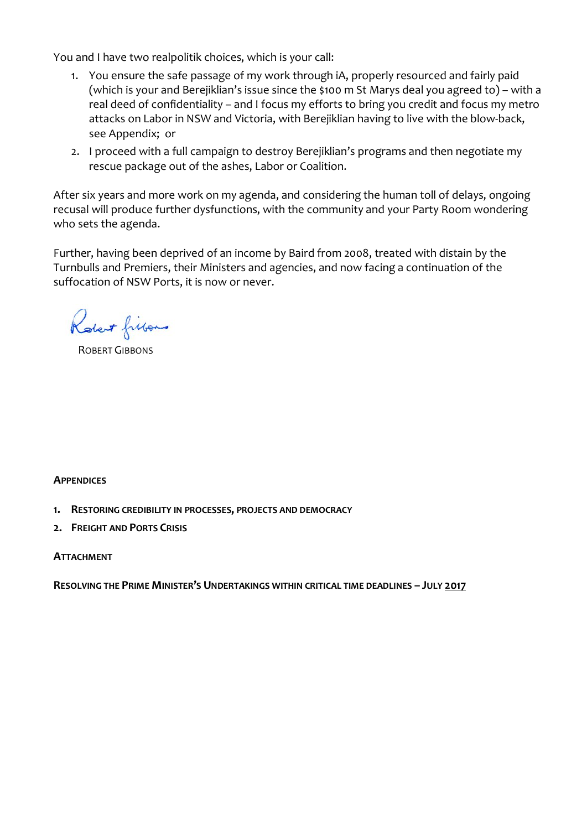You and I have two realpolitik choices, which is your call:

- 1. You ensure the safe passage of my work through iA, properly resourced and fairly paid (which is your and Berejiklian's issue since the \$100 m St Marys deal you agreed to) – with a real deed of confidentiality – and I focus my efforts to bring you credit and focus my metro attacks on Labor in NSW and Victoria, with Berejiklian having to live with the blow-back, see Appendix; or
- 2. I proceed with a full campaign to destroy Berejiklian's programs and then negotiate my rescue package out of the ashes, Labor or Coalition.

After six years and more work on my agenda, and considering the human toll of delays, ongoing recusal will produce further dysfunctions, with the community and your Party Room wondering who sets the agenda.

Further, having been deprived of an income by Baird from 2008, treated with distain by the Turnbulls and Premiers, their Ministers and agencies, and now facing a continuation of the suffocation of NSW Ports, it is now or never.

Robert fillows

ROBERT GIBBONS

#### **APPENDICES**

- **1. RESTORING CREDIBILITY IN PROCESSES, PROJECTS AND DEMOCRACY**
- **2. FREIGHT AND PORTS CRISIS**

#### **ATTACHMENT**

**RESOLVING THE PRIME MINISTER'S UNDERTAKINGS WITHIN CRITICAL TIME DEADLINES – JULY 2017**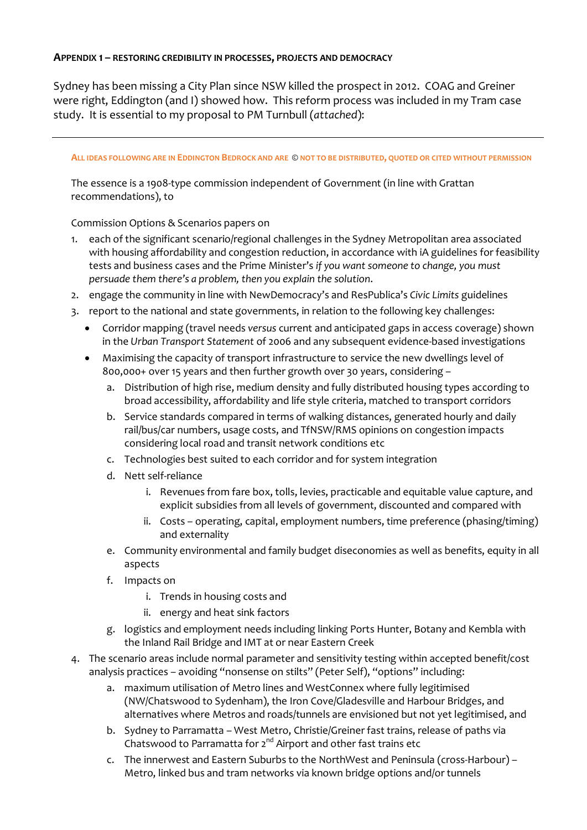#### **APPENDIX 1 – RESTORING CREDIBILITY IN PROCESSES, PROJECTS AND DEMOCRACY**

Sydney has been missing a City Plan since NSW killed the prospect in 2012. COAG and Greiner were right, Eddington (and I) showed how. This reform process was included in my Tram case study. It is essential to my proposal to PM Turnbull (*attached*):

#### **ALL IDEAS FOLLOWING ARE IN EDDINGTON BEDROCK AND ARE** © **NOT TO BE DISTRIBUTED, QUOTED OR CITED WITHOUT PERMISSION**

The essence is a 1908-type commission independent of Government (in line with Grattan recommendations), to

Commission Options & Scenarios papers on

- 1. each of the significant scenario/regional challenges in the Sydney Metropolitan area associated with housing affordability and congestion reduction, in accordance with iA guidelines for feasibility tests and business cases and the Prime Minister's *if you want someone to change, you must persuade them there's a problem, then you explain the solution*.
- 2. engage the community in line with NewDemocracy's and ResPublica's *Civic Limits* guidelines
- 3. report to the national and state governments, in relation to the following key challenges:
	- Corridor mapping (travel needs *versus* current and anticipated gaps in access coverage) shown in the *Urban Transport Statement* of 2006 and any subsequent evidence-based investigations
	- Maximising the capacity of transport infrastructure to service the new dwellings level of 800,000+ over 15 years and then further growth over 30 years, considering –
		- a. Distribution of high rise, medium density and fully distributed housing types according to broad accessibility, affordability and life style criteria, matched to transport corridors
		- b. Service standards compared in terms of walking distances, generated hourly and daily rail/bus/car numbers, usage costs, and TfNSW/RMS opinions on congestion impacts considering local road and transit network conditions etc
		- c. Technologies best suited to each corridor and for system integration
		- d. Nett self-reliance
			- i. Revenues from fare box, tolls, levies, practicable and equitable value capture, and explicit subsidies from all levels of government, discounted and compared with
			- ii. Costs operating, capital, employment numbers, time preference (phasing/timing) and externality
		- e. Community environmental and family budget diseconomies as well as benefits, equity in all aspects
		- f. Impacts on
			- i. Trends in housing costs and
			- ii. energy and heat sink factors
		- g. logistics and employment needs including linking Ports Hunter, Botany and Kembla with the Inland Rail Bridge and IMT at or near Eastern Creek
- 4. The scenario areas include normal parameter and sensitivity testing within accepted benefit/cost analysis practices – avoiding "nonsense on stilts" (Peter Self), "options" including:
	- a. maximum utilisation of Metro lines and WestConnex where fully legitimised (NW/Chatswood to Sydenham), the Iron Cove/Gladesville and Harbour Bridges, and alternatives where Metros and roads/tunnels are envisioned but not yet legitimised, and
	- b. Sydney to Parramatta West Metro, Christie/Greiner fast trains, release of paths via Chatswood to Parramatta for  $2^{nd}$  Airport and other fast trains etc
	- c. The innerwest and Eastern Suburbs to the NorthWest and Peninsula (cross-Harbour) Metro, linked bus and tram networks via known bridge options and/or tunnels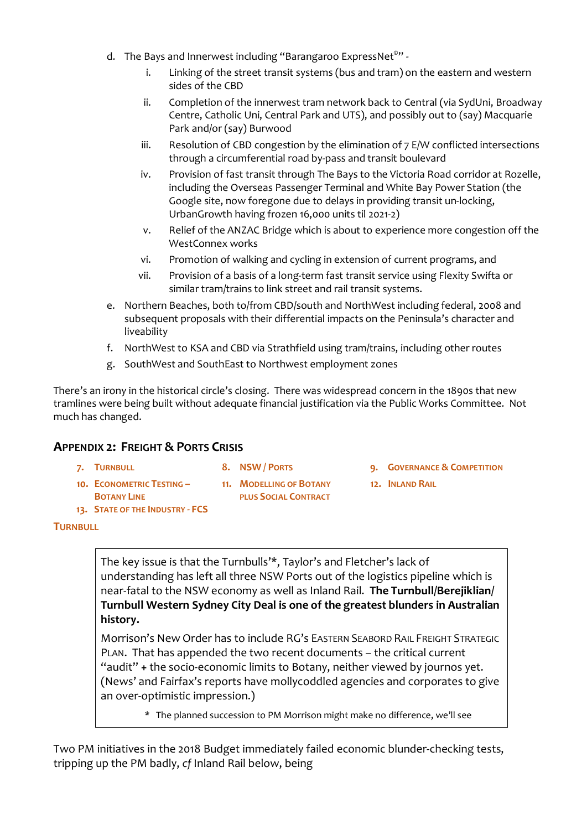- d. The Bays and Innerwest including "Barangaroo ExpressNet<sup>®</sup>"
	- i. Linking of the street transit systems (bus and tram) on the eastern and western sides of the CBD
	- ii. Completion of the innerwest tram network back to Central (via SydUni, Broadway Centre, Catholic Uni, Central Park and UTS), and possibly out to (say) Macquarie Park and/or (say) Burwood
	- iii. Resolution of CBD congestion by the elimination of  $7$  E/W conflicted intersections through a circumferential road by-pass and transit boulevard
	- iv. Provision of fast transit through The Bays to the Victoria Road corridor at Rozelle, including the Overseas Passenger Terminal and White Bay Power Station (the Google site, now foregone due to delays in providing transit un-locking, UrbanGrowth having frozen 16,000 units til 2021-2)
	- v. Relief of the ANZAC Bridge which is about to experience more congestion off the WestConnex works
	- vi. Promotion of walking and cycling in extension of current programs, and
	- vii. Provision of a basis of a long-term fast transit service using Flexity Swifta or similar tram/trains to link street and rail transit systems.
- e. Northern Beaches, both to/from CBD/south and NorthWest including federal, 2008 and subsequent proposals with their differential impacts on the Peninsula's character and liveability
- f. NorthWest to KSA and CBD via Strathfield using tram/trains, including other routes
- g. SouthWest and SouthEast to Northwest employment zones

There's an irony in the historical circle's closing. There was widespread concern in the 1890s that new tramlines were being built without adequate financial justification via the Public Works Committee. Not much has changed.

#### **APPENDIX 2: FREIGHT & PORTS CRISIS**

**11. MODELLING OF BOTANY PLUS SOCIAL CONTRACT**

- **7. TURNBULL 8. NSW / PORTS 9. GOVERNANCE & COMPETITION**
	- **12. INLAND RAIL**
- 
- **10. ECONOMETRIC TESTING – BOTANY LINE**
- **13. STATE OF THE INDUSTRY - FCS**

# **TURNBULL**

The key issue is that the Turnbulls'\*, Taylor's and Fletcher's lack of understanding has left all three NSW Ports out of the logistics pipeline which is near-fatal to the NSW economy as well as Inland Rail. **The Turnbull/Berejiklian/ Turnbull Western Sydney City Deal is one of the greatest blunders in Australian history.**

Morrison's New Order has to include RG's EASTERN SEABORD RAIL FREIGHT STRATEGIC PLAN. That has appended the two recent documents – the critical current "audit" **+** the socio-economic limits to Botany, neither viewed by journos yet. (News' and Fairfax's reports have mollycoddled agencies and corporates to give an over-optimistic impression.)

\* The planned succession to PM Morrison might make no difference, we'll see

Two PM initiatives in the 2018 Budget immediately failed economic blunder-checking tests, tripping up the PM badly, *cf* Inland Rail below, being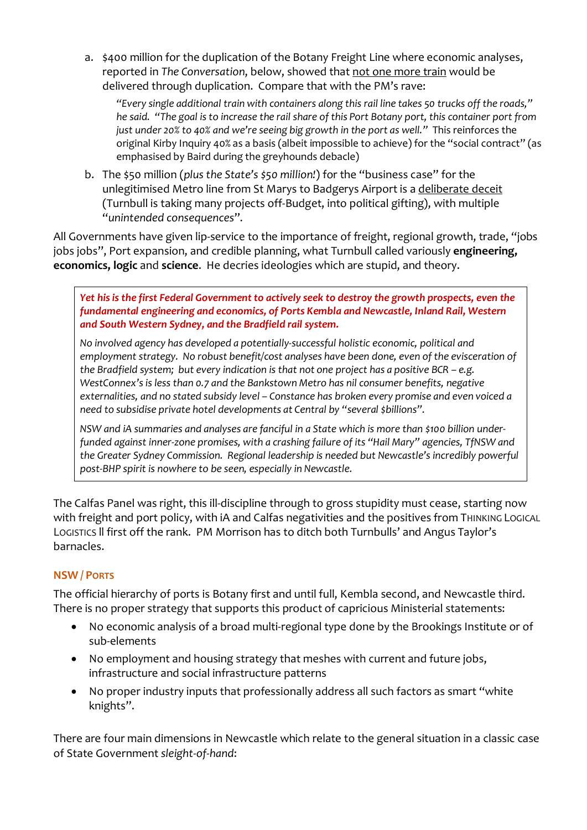a. \$400 million for the duplication of the Botany Freight Line where economic analyses, reported in *The Conversation*, below, showed that not one more train would be delivered through duplication. Compare that with the PM's rave:

*"Every single additional train with containers along this rail line takes 50 trucks off the roads," he said. "The goal is to increase the rail share of this Port Botany port, this container port from just under 20% to 40% and we're seeing big growth in the port as well."* This reinforces the original Kirby Inquiry 40% as a basis (albeit impossible to achieve) for the "social contract" (as emphasised by Baird during the greyhounds debacle)

b. The \$50 million (*plus the State's \$50 million!*) for the "business case" for the unlegitimised Metro line from St Marys to Badgerys Airport is a deliberate deceit (Turnbull is taking many projects off-Budget, into political gifting), with multiple "*unintended consequences*".

All Governments have given lip-service to the importance of freight, regional growth, trade, "jobs jobs jobs", Port expansion, and credible planning, what Turnbull called variously **engineering, economics, logic** and **science**. He decries ideologies which are stupid, and theory.

*Yet his is the first Federal Government to actively seek to destroy the growth prospects, even the fundamental engineering and economics, of Ports Kembla and Newcastle, Inland Rail, Western and South Western Sydney, and the Bradfield rail system.* 

*No involved agency has developed a potentially-successful holistic economic, political and employment strategy. No robust benefit/cost analyses have been done, even of the evisceration of the Bradfield system; but every indication is that not one project has a positive BCR – e.g. WestConnex's is less than 0.7 and the Bankstown Metro has nil consumer benefits, negative externalities, and no stated subsidy level – Constance has broken every promise and even voiced a need to subsidise private hotel developments at Central by "several \$billions".*

*NSW and iA summaries and analyses are fanciful in a State which is more than \$100 billion underfunded against inner-zone promises, with a crashing failure of its "Hail Mary" agencies, TfNSW and the Greater Sydney Commission. Regional leadership is needed but Newcastle's incredibly powerful post-BHP spirit is nowhere to be seen, especially in Newcastle.*

The Calfas Panel was right, this ill-discipline through to gross stupidity must cease, starting now with freight and port policy, with iA and Calfas negativities and the positives from THINKING LOGICAL LOGISTICS ll first off the rank. PM Morrison has to ditch both Turnbulls' and Angus Taylor's barnacles.

## **NSW / PORTS**

The official hierarchy of ports is Botany first and until full, Kembla second, and Newcastle third. There is no proper strategy that supports this product of capricious Ministerial statements:

- No economic analysis of a broad multi-regional type done by the Brookings Institute or of sub-elements
- No employment and housing strategy that meshes with current and future jobs, infrastructure and social infrastructure patterns
- No proper industry inputs that professionally address all such factors as smart "white knights".

There are four main dimensions in Newcastle which relate to the general situation in a classic case of State Government *sleight-of-hand*: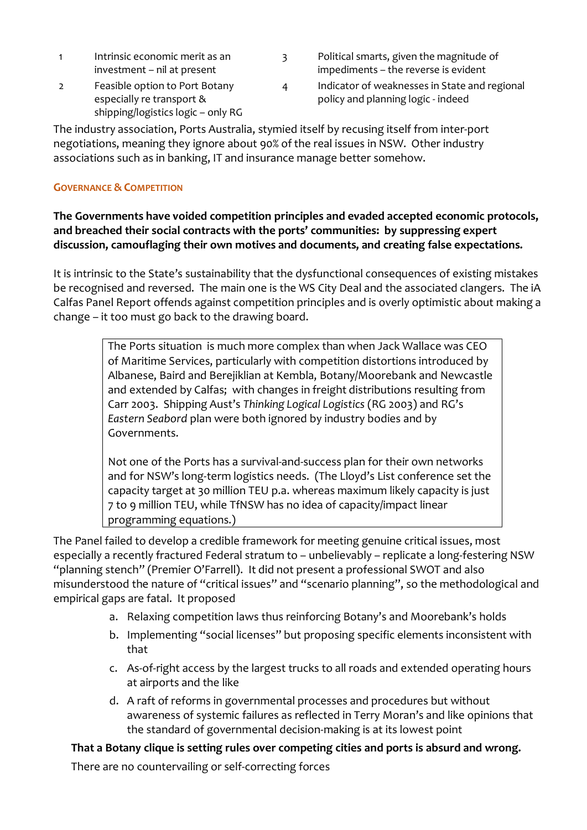| Intrinsic economic merit as an |
|--------------------------------|
| investment - nil at present    |

- 2 Feasible option to Port Botany especially re transport & shipping/logistics logic – only RG
- 3 Political smarts, given the magnitude of impediments – the reverse is evident
- 4 Indicator of weaknesses in State and regional policy and planning logic - indeed

The industry association, Ports Australia, stymied itself by recusing itself from inter-port negotiations, meaning they ignore about 90% of the real issues in NSW. Other industry associations such as in banking, IT and insurance manage better somehow.

#### **GOVERNANCE & COMPETITION**

## **The Governments have voided competition principles and evaded accepted economic protocols, and breached their social contracts with the ports' communities: by suppressing expert discussion, camouflaging their own motives and documents, and creating false expectations.**

It is intrinsic to the State's sustainability that the dysfunctional consequences of existing mistakes be recognised and reversed. The main one is the WS City Deal and the associated clangers. The iA Calfas Panel Report offends against competition principles and is overly optimistic about making a change – it too must go back to the drawing board.

> The Ports situation is much more complex than when Jack Wallace was CEO of Maritime Services, particularly with competition distortions introduced by Albanese, Baird and Berejiklian at Kembla, Botany/Moorebank and Newcastle and extended by Calfas; with changes in freight distributions resulting from Carr 2003. Shipping Aust's *Thinking Logical Logistics* (RG 2003) and RG's *Eastern Seabord* plan were both ignored by industry bodies and by Governments.

> Not one of the Ports has a survival-and-success plan for their own networks and for NSW's long-term logistics needs. (The Lloyd's List conference set the capacity target at 30 million TEU p.a. whereas maximum likely capacity is just 7 to 9 million TEU, while TfNSW has no idea of capacity/impact linear programming equations.)

The Panel failed to develop a credible framework for meeting genuine critical issues, most especially a recently fractured Federal stratum to – unbelievably – replicate a long-festering NSW "planning stench" (Premier O'Farrell). It did not present a professional SWOT and also misunderstood the nature of "critical issues" and "scenario planning", so the methodological and empirical gaps are fatal. It proposed

- a. Relaxing competition laws thus reinforcing Botany's and Moorebank's holds
- b. Implementing "social licenses" but proposing specific elements inconsistent with that
- c. As-of-right access by the largest trucks to all roads and extended operating hours at airports and the like
- d. A raft of reforms in governmental processes and procedures but without awareness of systemic failures as reflected in Terry Moran's and like opinions that the standard of governmental decision-making is at its lowest point

## **That a Botany clique is setting rules over competing cities and ports is absurd and wrong.**

There are no countervailing or self-correcting forces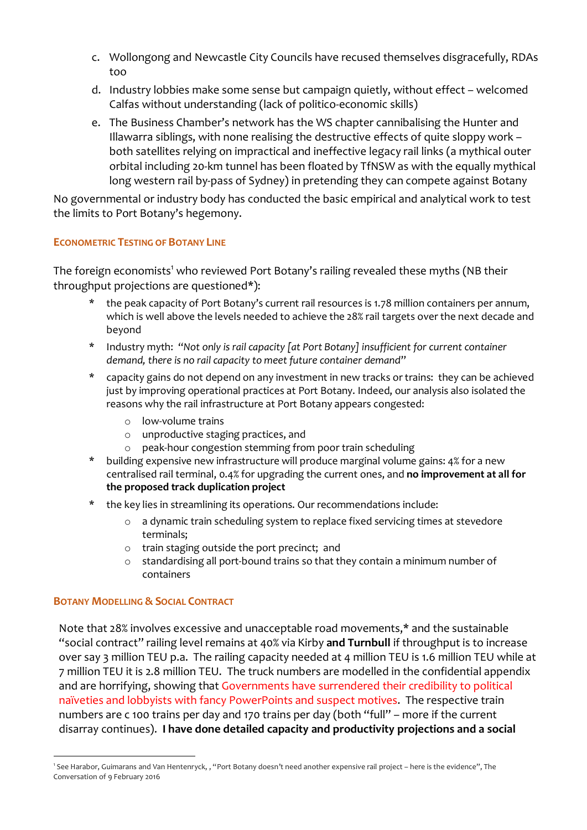- c. Wollongong and Newcastle City Councils have recused themselves disgracefully, RDAs too
- d. Industry lobbies make some sense but campaign quietly, without effect welcomed Calfas without understanding (lack of politico-economic skills)
- e. The Business Chamber's network has the WS chapter cannibalising the Hunter and Illawarra siblings, with none realising the destructive effects of quite sloppy work – both satellites relying on impractical and ineffective legacy rail links (a mythical outer orbital including 20-km tunnel has been floated by TfNSW as with the equally mythical long western rail by-pass of Sydney) in pretending they can compete against Botany

No governmental or industry body has conducted the basic empirical and analytical work to test the limits to Port Botany's hegemony.

## **ECONOMETRIC TESTING OF BOTANY LINE**

The foreign economists<sup>1</sup> who reviewed Port Botany's railing revealed these myths (NB their throughput projections are questioned\*):

- the peak capacity of Port Botany's current rail resources is 1.78 million containers per annum, which is well above the levels needed to achieve the 28% rail targets over the next decade and beyond
- \* Industry myth: "*Not only is rail capacity [at Port Botany] insufficient for current container demand, there is no rail capacity to meet future container demand*"
- \* capacity gains do not depend on any investment in new tracks or trains: they can be achieved just by improving operational practices at Port Botany. Indeed, our analysis also isolated the reasons why the rail infrastructure at Port Botany appears congested:
	- o low-volume trains
	- o unproductive staging practices, and
	- o peak-hour congestion stemming from poor train scheduling
- building expensive new infrastructure will produce marginal volume gains: 4% for a new centralised rail terminal, 0.4% for upgrading the current ones, and **no improvement at all for the proposed track duplication project**
- \* the key lies in streamlining its operations. Our recommendations include:
	- o a dynamic train scheduling system to replace fixed servicing times at stevedore terminals;
	- o train staging outside the port precinct; and
	- $\circ$  standardising all port-bound trains so that they contain a minimum number of containers

#### **BOTANY MODELLING & SOCIAL CONTRACT**

Note that 28% involves excessive and unacceptable road movements,\* and the sustainable "social contract" railing level remains at 40% via Kirby **and Turnbull** if throughput is to increase over say 3 million TEU p.a. The railing capacity needed at 4 million TEU is 1.6 million TEU while at 7 million TEU it is 2.8 million TEU. The truck numbers are modelled in the confidential appendix and are horrifying, showing that Governments have surrendered their credibility to political naïveties and lobbyists with fancy PowerPoints and suspect motives. The respective train numbers are c 100 trains per day and 170 trains per day (both "full" – more if the current disarray continues). **I have done detailed capacity and productivity projections and a social** 

 $\overline{1}$ 'See Harabor, Guimarans and Van Hentenryck, , "Port Botany doesn't need another expensive rail project - here is the evidence", The Conversation of 9 February 2016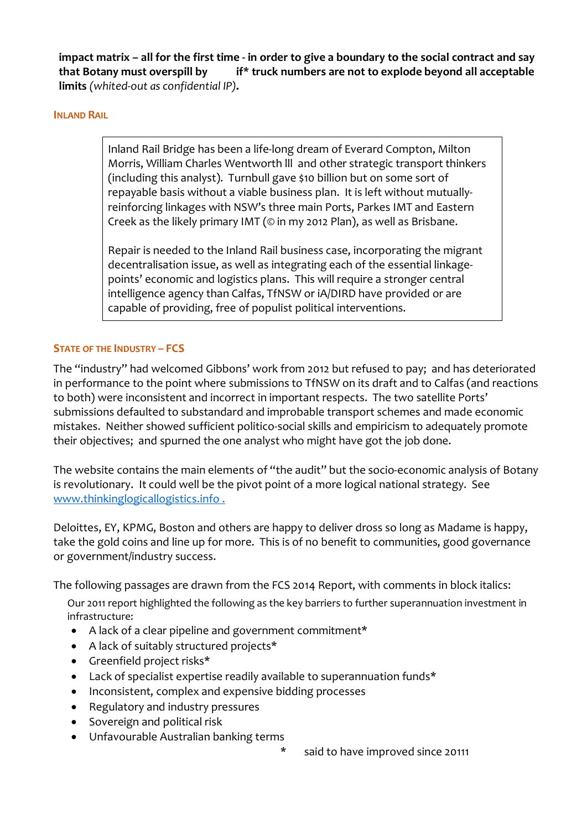**impact matrix – all for the first time - in order to give a boundary to the social contract and say that Botany must overspill by 2025 if\* truck numbers are not to explode beyond all acceptable limits** *(whited-out as confidential IP)***.**

#### **INLAND RAIL**

Inland Rail Bridge has been a life-long dream of Everard Compton, Milton Morris, William Charles Wentworth lll and other strategic transport thinkers (including this analyst). Turnbull gave \$10 billion but on some sort of repayable basis without a viable business plan. It is left without mutuallyreinforcing linkages with NSW's three main Ports, Parkes IMT and Eastern Creek as the likely primary IMT (© in my 2012 Plan), as well as Brisbane.

Repair is needed to the Inland Rail business case, incorporating the migrant decentralisation issue, as well as integrating each of the essential linkagepoints' economic and logistics plans. This will require a stronger central intelligence agency than Calfas, TfNSW or iA/DIRD have provided or are capable of providing, free of populist political interventions.

## **STATE OF THE INDUSTRY – FCS**

The "industry" had welcomed Gibbons' work from 2012 but refused to pay; and has deteriorated in performance to the point where submissions to TfNSW on its draft and to Calfas (and reactions to both) were inconsistent and incorrect in important respects. The two satellite Ports' submissions defaulted to substandard and improbable transport schemes and made economic mistakes. Neither showed sufficient politico-social skills and empiricism to adequately promote their objectives; and spurned the one analyst who might have got the job done.

The website contains the main elements of "the audit" but the socio-economic analysis of Botany is revolutionary. It could well be the pivot point of a more logical national strategy. See www.thinkinglogicallogistics.info .

Deloittes, EY, KPMG, Boston and others are happy to deliver dross so long as Madame is happy, take the gold coins and line up for more. This is of no benefit to communities, good governance or government/industry success.

The following passages are drawn from the FCS 2014 Report, with comments in block italics:

Our 2011 report highlighted the following as the key barriers to further superannuation investment in infrastructure:

- A lack of a clear pipeline and government commitment\*
- A lack of suitably structured projects\*
- Greenfield project risks\*
- Lack of specialist expertise readily available to superannuation funds\*
- Inconsistent, complex and expensive bidding processes
- Regulatory and industry pressures
- Sovereign and political risk
- Unfavourable Australian banking terms
- said to have improved since 20111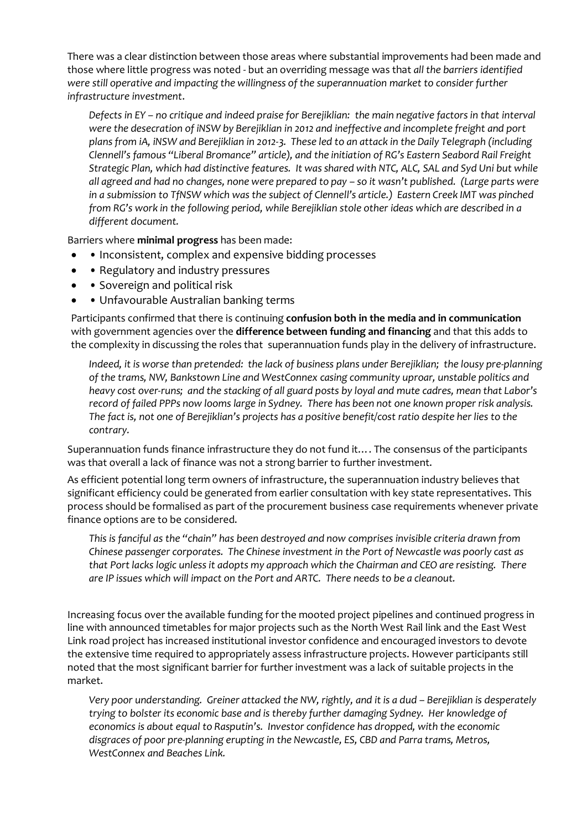There was a clear distinction between those areas where substantial improvements had been made and those where little progress was noted - but an overriding message was that *all the barriers identified were still operative and impacting the willingness of the superannuation market to consider further infrastructure investment*.

*Defects in EY – no critique and indeed praise for Berejiklian: the main negative factors in that interval were the desecration of iNSW by Berejiklian in 2012 and ineffective and incomplete freight and port plans from iA, iNSW and Berejiklian in 2012-3. These led to an attack in the Daily Telegraph (including Clennell's famous "Liberal Bromance" article), and the initiation of RG's Eastern Seabord Rail Freight Strategic Plan, which had distinctive features. It was shared with NTC, ALC, SAL and Syd Uni but while all agreed and had no changes, none were prepared to pay – so it wasn't published. (Large parts were in a submission to TfNSW which was the subject of Clennell's article.) Eastern Creek IMT was pinched from RG's work in the following period, while Berejiklian stole other ideas which are described in a different document.*

Barriers where **minimal progress** has been made:

- • Inconsistent, complex and expensive bidding processes
- • Regulatory and industry pressures
- • Sovereign and political risk
- Unfavourable Australian banking terms

Participants confirmed that there is continuing **confusion both in the media and in communication** with government agencies over the **difference between funding and financing** and that this adds to the complexity in discussing the roles that superannuation funds play in the delivery of infrastructure.

*Indeed, it is worse than pretended: the lack of business plans under Berejiklian; the lousy pre-planning of the trams, NW, Bankstown Line and WestConnex casing community uproar, unstable politics and heavy cost over-runs; and the stacking of all guard posts by loyal and mute cadres, mean that Labor's record of failed PPPs now looms large in Sydney. There has been not one known proper risk analysis. The fact is, not one of Berejiklian's projects has a positive benefit/cost ratio despite her lies to the contrary.*

Superannuation funds finance infrastructure they do not fund it…. The consensus of the participants was that overall a lack of finance was not a strong barrier to further investment.

As efficient potential long term owners of infrastructure, the superannuation industry believes that significant efficiency could be generated from earlier consultation with key state representatives. This process should be formalised as part of the procurement business case requirements whenever private finance options are to be considered.

*This is fanciful as the "chain" has been destroyed and now comprises invisible criteria drawn from Chinese passenger corporates. The Chinese investment in the Port of Newcastle was poorly cast as that Port lacks logic unless it adopts my approach which the Chairman and CEO are resisting. There are IP issues which will impact on the Port and ARTC. There needs to be a cleanout.*

Increasing focus over the available funding for the mooted project pipelines and continued progress in line with announced timetables for major projects such as the North West Rail link and the East West Link road project has increased institutional investor confidence and encouraged investors to devote the extensive time required to appropriately assess infrastructure projects. However participants still noted that the most significant barrier for further investment was a lack of suitable projects in the market.

*Very poor understanding. Greiner attacked the NW, rightly, and it is a dud – Berejiklian is desperately trying to bolster its economic base and is thereby further damaging Sydney. Her knowledge of economics is about equal to Rasputin's. Investor confidence has dropped, with the economic disgraces of poor pre-planning erupting in the Newcastle, ES, CBD and Parra trams, Metros, WestConnex and Beaches Link.*